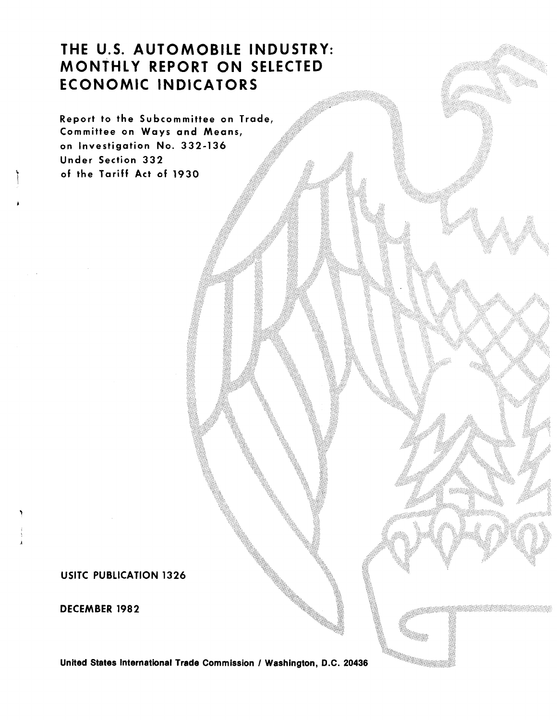# **THE U.S. AUTOMOBILE INDUSTRY: MONTHLY REPORT ON SELECTED ECONOMIC INDICATORS**

Report to the Subcommittee on Trade, Committee on Ways and Means, on Investigation No. 332-136 Under Section 332 of the Tariff Act of 1930

USITC PUBLICATION 1326

DECEMBER 1982

United States International Trade Commission / Washington, D.C. 20436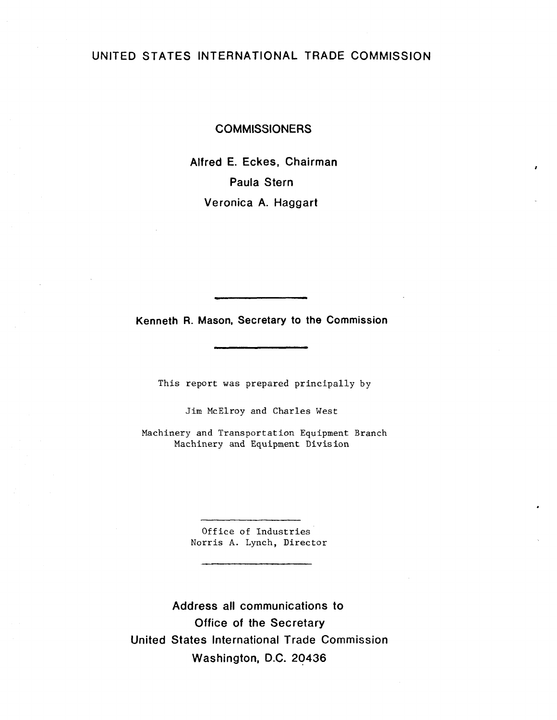### UNITED STATES INTERNATIONAL TRADE COMMISSION

#### **COMMISSIONERS**

Alfred E. Eckes, Chairman Paula Stern Veronica A. Haggart

Kenneth R. Mason, Secretary to the Commission

This report was prepared principally by

Jim McElroy and Charles West

Machinery and Transportation Equipment Branch Machinery and Equipment Division

> Office of Industries Norris A. Lynch, Director

Address all communications to Office of the Secretary United States International Trade Commission Washington, D.C. 20436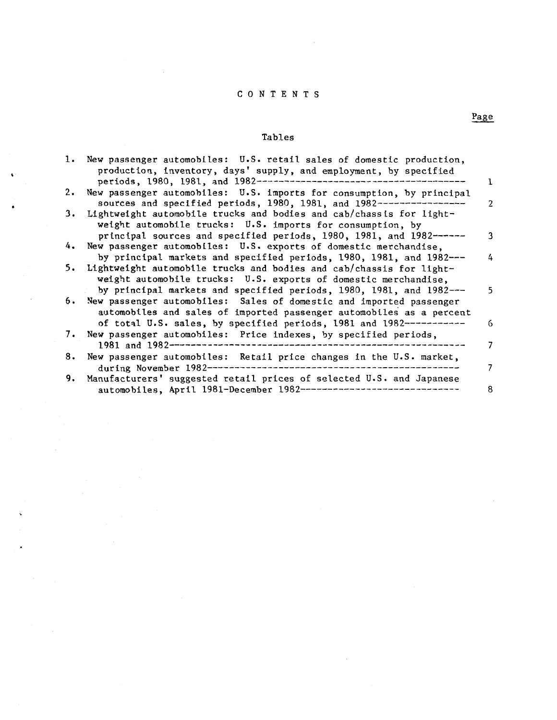## C 0 N T E N T S

 $\bar{\alpha}$ 

 $\pmb{\epsilon}$ 

## Tables

| ı. | New passenger automobiles: U.S. retail sales of domestic production,<br>production, inventory, days' supply, and employment, by specified |   |
|----|-------------------------------------------------------------------------------------------------------------------------------------------|---|
|    | periods, 1980, 1981, and 1982---------------------------------                                                                            |   |
| 2. | New passenger automobiles: U.S. imports for consumption, by principal<br>sources and specified periods, 1980, 1981, and 1982-------       | 2 |
| 3. | Lightweight automobile trucks and bodies and cab/chassis for light-                                                                       |   |
|    | weight automobile trucks: U.S. imports for consumption, by                                                                                |   |
|    | principal sources and specified periods, 1980, 1981, and 1982------                                                                       |   |
| 4. | New passenger automobiles: U.S. exports of domestic merchandise,                                                                          |   |
|    | by principal markets and specified periods, 1980, 1981, and 1982---                                                                       | 4 |
| 5. | Lightweight automobile trucks and bodies and cab/chassis for light-                                                                       |   |
|    | weight automobile trucks: U.S. exports of domestic merchandise,                                                                           |   |
|    | by principal markets and specified periods, 1980, 1981, and 1982---                                                                       |   |
|    | 6. New passenger automobiles: Sales of domestic and imported passenger                                                                    |   |
|    |                                                                                                                                           |   |
|    | automobiles and sales of imported passenger automobiles as a percent                                                                      |   |
|    | of total U.S. sales, by specified periods, 1981 and 1982-----------                                                                       | 6 |
| 7. | New passenger automobiles: Price indexes, by specified periods,                                                                           |   |
|    | 1981 and $1982$ -------                                                                                                                   |   |
| 8. | New passenger automobiles: Retail price changes in the U.S. market,                                                                       |   |
|    | during November 1982---                                                                                                                   | 7 |
| 9. | Manufacturers' suggested retail prices of selected U.S. and Japanese                                                                      |   |
|    | automobiles, April 1981-December 1982---------                                                                                            | 8 |

Page

 $\bar{\beta}$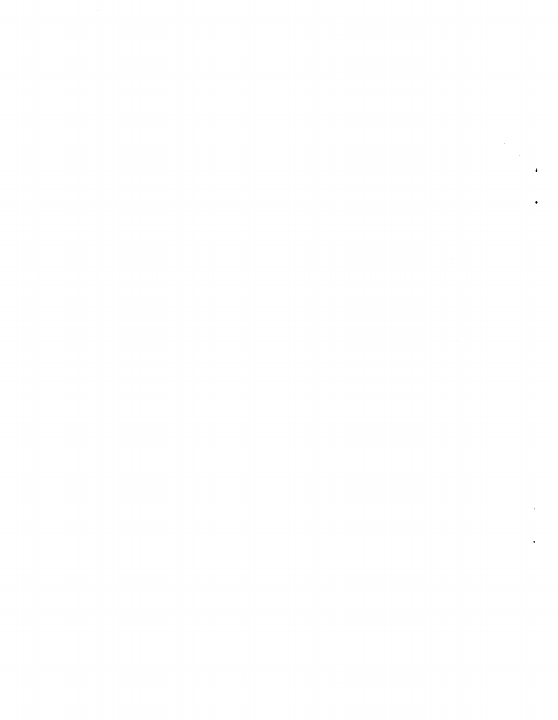$\pmb{\ast}$  $\bar{\beta}$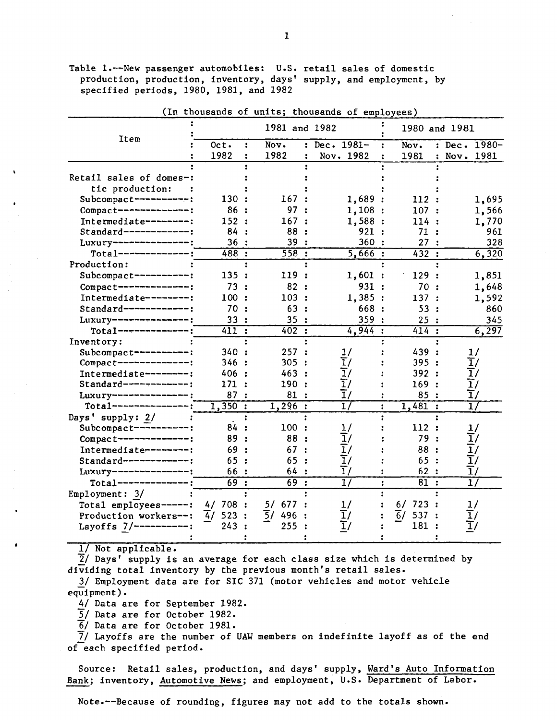Table 1.--New passenger automobiles: U.S. retail sales of domestic production, production, inventory, days' supply, and employment, by specified periods, 1980, 1981, and 1982

| Item                    | 1981 and 1982           |                         |                        |                              |                  |                | 1980 and 1981            |                |           |                  |  |
|-------------------------|-------------------------|-------------------------|------------------------|------------------------------|------------------|----------------|--------------------------|----------------|-----------|------------------|--|
|                         | $0$ ct.                 | $\ddot{\phantom{a}}$    | Nov.                   | Dec. 1981-<br>$\ddot{\cdot}$ |                  | ÷              | Nov.                     | $\ddot{\cdot}$ |           | Dec. 1980-       |  |
|                         | 1982                    | ۰.                      | 1982<br>$\ddot{\cdot}$ |                              | Nov. 1982        |                | 1981                     | $\ddot{\cdot}$ | Nov. 1981 |                  |  |
|                         |                         |                         |                        |                              |                  |                |                          |                |           |                  |  |
| Retail sales of domes-: |                         |                         |                        |                              |                  |                |                          |                |           |                  |  |
| tic production:         |                         |                         |                        |                              |                  |                |                          |                |           |                  |  |
| Subcompact----------:   | 130:                    |                         | 167                    |                              | 1,689:           |                | 112:                     |                |           | 1,695            |  |
| Compact--------------:  | 86                      |                         | 97                     |                              | 1,108:           |                | 107:                     |                |           | 1,566            |  |
| Intermediate--------:   | 152:                    |                         | 167                    |                              | 1,588:           |                | 114:                     |                |           | 1,770            |  |
| $Standard--------$      | 84                      | $\mathbf{r}$            | 88                     |                              | 921:             |                | 71                       | - 2            |           | 961              |  |
| Luxury---------------:  | 36:                     |                         | 39:                    |                              | 360:             |                | 27                       |                |           | 328              |  |
| $Total-----$            | 488:                    |                         | 558:                   |                              | 5,666:           |                | 432:                     |                |           | 6,320            |  |
| Production:             |                         | $\ddot{\cdot}$          |                        |                              |                  |                |                          |                |           |                  |  |
| Subcompact----------:   | 135                     | $\cdot$ :               | 119:                   |                              | 1,601:           |                | 129                      | $\cdot$ :      |           | 1,851            |  |
| Compact--------------:  | 73                      | $\mathbf{r}$            | 82:                    |                              | 931:             |                | 70 :                     |                |           | 1,648            |  |
| Intermediate --------:  | 100                     | $\cdot$ :               | 103:                   |                              | 1,385:           |                | 137:                     |                |           | 1,592            |  |
| Standard-------------;  | 70                      | $\cdot$ :               | 63:                    |                              | 668 :            |                | 53 :                     |                |           | 860              |  |
| Luxury---------------:  | 33                      | $\cdot$ :               | 35:                    |                              | 359 :            |                | 25:                      |                |           | 345              |  |
| $Total-----$            | 411:                    |                         | 402 :                  |                              | 4,944:           |                | 414:                     |                |           | 6, 297           |  |
| Inventory:              |                         |                         |                        |                              |                  |                |                          |                |           |                  |  |
| Subcompact-----------:  | 340.                    |                         | 257<br>$\cdot$ :       |                              | 1/               |                | 439 :                    |                |           | 1/               |  |
| Compact--------------:  | 346:                    |                         | 305:                   |                              | T/               |                | 395:                     |                |           | $\mathsf{T}/$    |  |
| Intermediate--------:   | 406                     |                         | 463:                   |                              | 17               |                | 392:                     |                |           | 1/               |  |
| $Standard-----$         | 171                     |                         | 190:                   |                              | 17               |                | 169:                     |                |           | 1/               |  |
| Luxury---------------;  | 87:                     |                         | 81                     |                              | $\overline{1}$ / |                | 85:                      |                |           | $\overline{1}$ / |  |
| $Total-----$            | 1,350:                  |                         | 1,296:                 |                              | $\overline{17}$  |                | 1,481                    |                |           | $\overline{17}$  |  |
| Days' supply: 2/        |                         |                         |                        |                              |                  |                |                          |                |           |                  |  |
| Subcompact----------:   | 84                      |                         | 100:                   |                              | 17               |                | 112:                     |                |           | 1/               |  |
| Compact--------------:  | 89                      |                         | 88:                    |                              | $\overline{1}$ / |                | 79 :                     |                |           | T/               |  |
| Intermediate --------:  | 69                      |                         | 67 :                   |                              | 1/               |                | 88 :                     |                |           | 1/               |  |
| $Standard-----$         | 65                      |                         | 65:                    |                              | $\overline{1}$ / |                | 65:                      |                |           | T/               |  |
| Luxury---------------;  | 66 :                    |                         | 64                     |                              | T/               |                | 62:                      |                |           | $\overline{1}$ / |  |
| $Total-----$            | 69:                     |                         | 69:                    |                              | 1/               | $\ddot{\cdot}$ | 81:                      |                |           | 1/               |  |
| Employment: $3/$        |                         | $\overline{\mathbf{r}}$ |                        |                              |                  |                |                          |                |           |                  |  |
| Total employees -----:  | 4/708:                  |                         | 5/<br>677              |                              | 1/               |                | 723:<br>6/               |                |           | 17               |  |
| Production workers--:   | $\overline{4}/$<br>523: |                         | $\overline{5}/$<br>496 |                              | 1/               |                | 537 :<br>$\overline{6}/$ |                |           | 1/               |  |
| Layoffs 7/-----------:  | 243                     |                         | 255                    |                              | $\overline{1}$ / |                | 181:                     |                |           | $\mathbf{1}$     |  |
|                         |                         |                         |                        |                              |                  |                |                          |                |           |                  |  |

(In thousands of units; thousands of employees)

1/ Not applicable.

 $\overline{2}$  Days' supply is an average for each class size which is determined by dividing total inventory by the previous month's retail sales.

3/ Employment data are for SIC 371 (motor vehicles and motor vehicle equipment).

4/ Data are for September 1982.

S/ Data are for October 1982.

 $\overline{6}$ / Data are for October 1981.

 $\overline{7}$ / Layoffs are the number of UAW members on indefinite layoff as of the end of each specified period.

Source: Retail sales, production, and days' supply, Ward's Auto Information Bank; inventory, Automotive News; and employment, U.S. Department of Labor.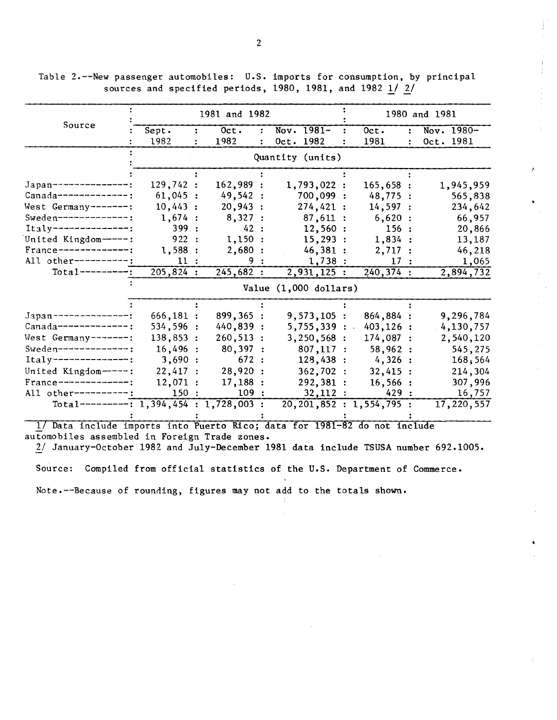$\bullet$ 1981 and 1982 1980 and 1981 Source Sept.  $\overline{\cdot}$ Oct. Nov. 1981- 7 Oct. Nov. 1980-  $\ddot{\cdot}$  $\ddot{\cdot}$ 1982 1982  $\ddot{\cdot}$  $\ddot{z}$ 0ct. 1982  $\ddot{\cdot}$ 1981  $\ddot{\mathbf{r}}$ 0ct. 1981 Quantity (units) Japan--------------: 129,742  $162,989 : 1,793,022 :$ <br>49,542 : 700,099 : 165,658 1,945,959 Canada------------61,045  $49,542$  :  $700,099$  :<br> $20,943$  :  $274,421$  : 48,775 : 565,838 West Germany-------: 10,443  $20,943:$  $14,597:$ 234,642  $8,327 : 87,611 :$ Sweden-------------: 1,674 6,620 66,957 lt3ly--------------: 399 : 42 : 12,560 : 156 20,866 922  $1,150$ :  $15,293$ : United Kingdom~---: 1,834 13, 187  $2,680$  :  $46,381$  : France-------------: l,588 2, 717 46,218 All other----------: 11  $\frac{9}{2}$  :  $\frac{1,738}{2,931,125}$  :  $17:$ 1,065 205 ,824  $245,682:$  $240,374$  : 2,894,732  $Total-----$ Value (1,000 dollars)  $\ddot{\cdot}$  $\cdot$  $\cdot$  $\cdot$  $\ddot{\cdot}$ Japan--------------: 666,181 899,365: 9,573,105:<br>440,839: 5,755,339:  $864, 884 :$ 9,296,784 Canada-------------:  $534, 596:$ 440,839 5,755,339 403,126 4,130,757 West Germany-------:  $138,853:$  $260,513$  : 3,250,568 :<br>80,397 : 807,117 : 174,087 2,540,120 Sweden-------------: 16,496  $\begin{array}{r} 80,397 : 672 : \end{array}$ 58,962 : 545,275 Italy--------------:  $3,690:$  $128,438:$  $4,326:$ 168,564 United Kingdom~---: 22,417  $28,920$  :  $362,702$  :<br>17,188 :  $292,381$  : 32,415 214,304 12,071 16,566 307,996 France-------------:  $\begin{array}{r} 188 : 292,381 : 109 : 32,112 : \end{array}$ 150 32,112 429 16,757 All other----------: Total---------: 1,394,454 : 1,728,003 : 20,201,852  $20, 201, 852 : 1, 554, 795 :$ 17,220,557

*!·* 

Table 2.--New passenger automobiles: U.S. imports for consumption, by principal sources and specified periods, 1980, 1981, and 1982 1/ 2/

1/ Data include imports into Puerto Rico; data for 1981-82 do not include automobiles assembled in Foreign Trade zones.

*'!:../* January-October 1982 and July-December 1981 data include TSUSA number 692.1005.

Source: Compiled from official statistics of the U.S. Department of Commerce.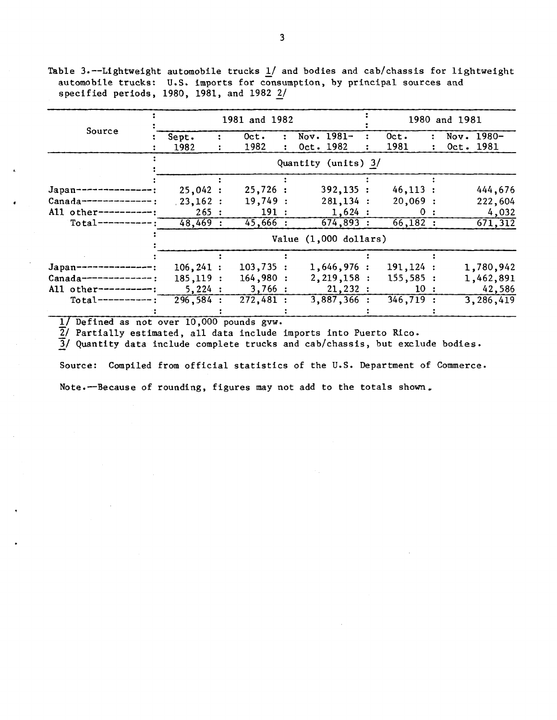Table 3.--Lightweight automobile trucks !/ and bodies and cab/chassis for lightweight automobile trucks: U.S. imports for consumption, by principal sources and specified periods, 1980, 1981, and 1982  $2/$ 

|                         |                         |  | 1981 and 1982   |                | 1980 and 1981           |  |                 |    |                         |  |  |  |
|-------------------------|-------------------------|--|-----------------|----------------|-------------------------|--|-----------------|----|-------------------------|--|--|--|
| Source                  | Sept.<br>1982           |  | $0$ ct.<br>1982 | $\ddot{\cdot}$ | Nov. 1981-<br>Oct. 1982 |  | $0$ ct.<br>1981 | ÷  | Nov. 1980-<br>Oct. 1981 |  |  |  |
|                         |                         |  |                 |                | Quantity (units) 3/     |  |                 |    |                         |  |  |  |
|                         |                         |  |                 |                |                         |  |                 |    |                         |  |  |  |
| Japan-                  | 25,042:                 |  | 25,726:         |                | 392, 135:               |  | 46,113:         |    | 444,676                 |  |  |  |
| $Canada---------------$ | .23,162:                |  | 19,749:         |                | 281, 134:               |  | $20,069$ :      |    | 222,604                 |  |  |  |
| All other-              | 265:                    |  | 191:            |                | 1,624:                  |  |                 | 0: | 4,032                   |  |  |  |
| $Total-----$            | $48,469$ :              |  | 45,666:         |                | 674,893:                |  | 66, 182:        |    | 671,312                 |  |  |  |
|                         | Value $(1,000$ dollars) |  |                 |                |                         |  |                 |    |                         |  |  |  |
|                         |                         |  |                 |                |                         |  |                 |    |                         |  |  |  |
| $Japan-$                | 106, 241:               |  | 103,735:        |                | 1,646,976:              |  | 191, 124:       |    | 1,780,942               |  |  |  |
| $Canada-----$           | 185, 119:               |  | 164,980:        |                | 2, 219, 158:            |  | 155,585:        |    | 1,462,891               |  |  |  |
| All other----------:    | 5,224:                  |  | $3,766$ :       |                | 21,232:                 |  | 10:             |    | 42,586                  |  |  |  |
| $Total-----$            | 296,584:                |  | 272,481:        |                | $3,887,366$ :           |  | $346, 719$ :    |    | 3,286,419               |  |  |  |
|                         |                         |  |                 |                |                         |  |                 |    |                         |  |  |  |

1/ Defined as not over 10,000 pounds gvw.

2/ Partially estimated, all data include imports into Puerto Rico.

3/ Quantity data include complete trucks and cab/chassis, but exclude bodies.

Source: Compiled from official statistics of the U.S. Department of Commerce.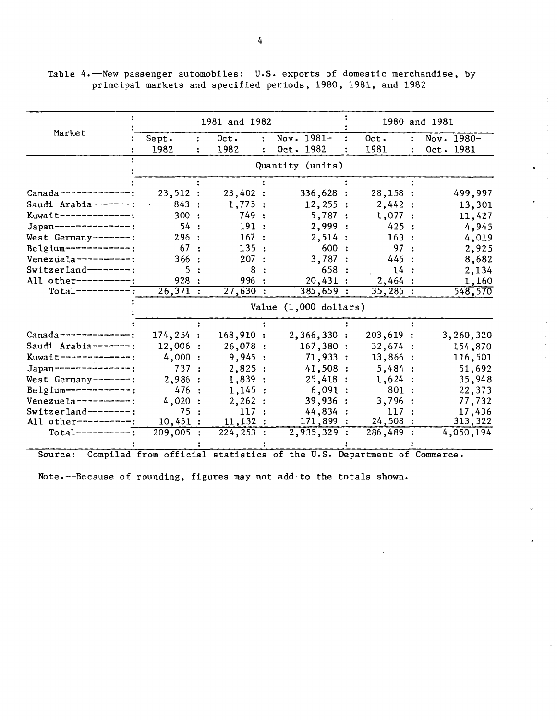Table 4.--New passenger automobiles: U.S. exports of domestic merchandise, by principal markets and specified periods, 1980, 1981, and 1982

|                                                                                                                                    |            |                | 1981 and 1982    | 1980 and 1981 |                         |                |            |  |                      |
|------------------------------------------------------------------------------------------------------------------------------------|------------|----------------|------------------|---------------|-------------------------|----------------|------------|--|----------------------|
| Market                                                                                                                             | Sept.      | $\ddot{\cdot}$ | Oct.             | $\bullet$     | Nov. 1981-              |                | $0$ ct.    |  | Nov. 1980-           |
|                                                                                                                                    | 1982       |                | 1982             |               | Oct. 1982               |                | 1981       |  | Oct. 1981            |
|                                                                                                                                    |            |                | Quantity (units) |               |                         |                |            |  |                      |
|                                                                                                                                    |            |                |                  |               |                         |                |            |  |                      |
| $Canada --- --- --- --- - - - - - :$                                                                                               | 23,512:    |                | 23,402:          |               | 336,628:                |                | 28, 158:   |  | 499,997              |
| Saudi Arabia-------:                                                                                                               | 843 :      |                | 1,775:           |               | 12,255:                 |                | 2,442:     |  | 13,301               |
| Kuwait-------------:                                                                                                               | 300:       |                | 749:             |               | 5,787:                  |                | 1,077:     |  | 11,427               |
| Japan--------------;                                                                                                               | 54:        |                | 191:             |               | 2,999:                  |                | 425:       |  | 4,945                |
| West Germany-------:                                                                                                               | 296:       |                | 167:             |               | 2,514:                  |                | 163:       |  | 4,019                |
| $Belgium--------------$                                                                                                            | 67:        |                | 135:             |               | 600 :                   |                | 97:        |  | 2,925                |
| $Venezue1a-----$                                                                                                                   | 366:       |                | 207 :            |               | 3,787:                  |                | 445:       |  | 8,682                |
| $Switcherland \rightarrow \rightarrow \rightarrow \rightarrow \rightarrow$ :                                                       | 5.         | $\ddot{\cdot}$ | 8:               |               | 658 :                   |                | 14:        |  | 2,134                |
| All other----------;                                                                                                               | 928 :      |                | 996:             |               | 20,431:                 |                | 2,464:     |  | 1,160                |
| $Total-----$                                                                                                                       | 26,371:    |                | 27,630:          |               | 385,659:                |                | 35,285:    |  | $\overline{548,}570$ |
|                                                                                                                                    |            |                |                  |               | Value $(1,000$ dollars) |                |            |  |                      |
|                                                                                                                                    |            |                |                  |               |                         |                |            |  |                      |
| $Canada \rightarrow \rightarrow \rightarrow \rightarrow \rightarrow \rightarrow \rightarrow \rightarrow \rightarrow \rightarrow$ : | 174, 254:  |                | 168,910:         |               | 2,366,330:              |                | 203,619:   |  | 3,260,320            |
| Saudi Arabia-------:                                                                                                               | $12,006$ : |                | 26,078:          |               | 167,380:                |                | 32,674:    |  | 154,870              |
| Kuwait--------------:                                                                                                              | 4,000:     |                | 9,945:           |               | 71,933:                 |                | $13,866$ : |  | 116,501              |
| Japan---------------;                                                                                                              | 737 :      |                | 2,825:           |               | 41,508:                 |                | 5,484:     |  | 51,692               |
| West Germany-------:                                                                                                               | 2,986:     |                | 1,839:           |               | 25,418:                 |                | 1,624:     |  | 35,948               |
| $Belgium--------$                                                                                                                  | 476:       |                | 1,145:           |               | 6,091:                  |                | 801:       |  | 22,373               |
| $Venezue1a--------:$                                                                                                               | 4,020:     |                | 2,262:           |               | 39,936:                 |                | 3,796:     |  | 77,732               |
| $Switcherland \text{---} \text{---}$ :                                                                                             | 75         |                | 117:             |               | 44,834                  | $\ddot{\cdot}$ | 117:       |  | 17,436               |
| All other----------:                                                                                                               | 10,451:    |                | 11,132:          |               | 171,899:                |                | 24,508:    |  | 313,322              |
| $Total-----$                                                                                                                       | 209,005:   |                | 224, 253:        |               | 2,935,329:              |                | 286,489 :  |  | 4,050,194            |
|                                                                                                                                    |            |                |                  |               |                         |                |            |  |                      |

Source: Compiled from official statistics of the U.S. Department of Commerce.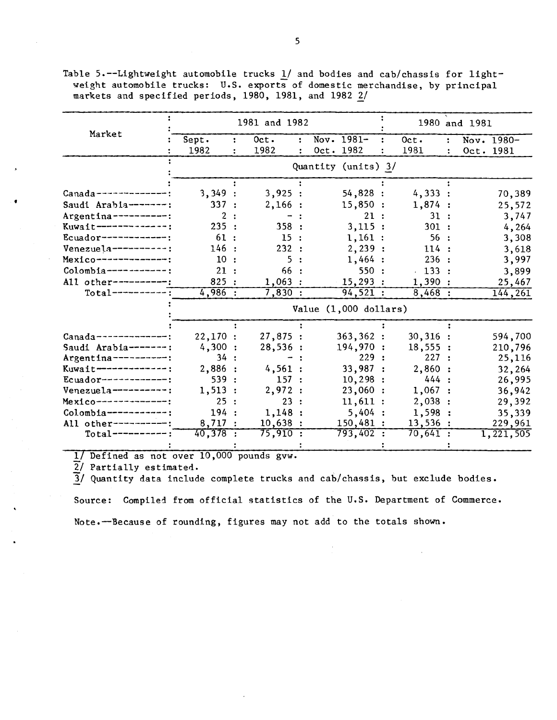$\ddot{\cdot}$ 1981 and 1982 1980 and 1981 Market  $\qquad \qquad \frac{1}{\text{Sept.}}$ Oct. : Nov. 1981- : Oct. Nov. 1980-  $\ddot{\cdot}$  $\ddot{\cdot}$ 1982 : Oct. 1982 : 1981 1982 0ct. 1981  $\ddot{\phantom{a}}$  $\ddot{\cdot}$  $\ddot{\cdot}$ Quantity (units) *l./*   $\ddot{\cdot}$  $3,349:$  $Canada$ --------- $3,925:$  $54,828$  :  $4,333$  : 70,389 -- !  $337:$ Saudi Arabia-------:  $2,166$  :<br> $-$  :  $15,850$  : 1,874 : 25,572  $Argentina---- 2:$  $21: 31:$ 3,747  $235:$ Kuwait-------------: 358  $3,115: 301:$ 4,264  $Ecuador---- 61:$  $15:$  $1,161$  : 56 : 3,308  $146:$ 232  $2, 239 : 114 :$  $Venezue1a-----$ 3,618  $Mexico$ -------------:  $10:$ 5 :  $1,464$  : 236 : 3,997  $21:$  $Colombia$ ----------: 66  $550 : 133 :$ 3,899 All other---- $825:$  $1,063$  :  $15,293$ : 1,390: 25,467 7,830  $4,986$ :  $94,521$  : 8,468 :  $Total--$ 144,261 Value (1,000 dollars)  $\ddot{\cdot}$ Canada--------------: 22,170: 27,875:<br>Saudi Arabia-------: 4,300: 28,536:  $363,362 : 30,316 :$ 594,700 Saudi Arabia-------:  $4,300$ :  $194,970$  :  $18,555$  : 210, 796 Argentina-----------: 34 : - :<br>Kuwait---------------: 2,886 : 4,561 :  $229 : 227 :$ 25,116 33,987 : 2,860 : 32,264  $\frac{157}{39}$  :  $\frac{157}{39}$  :  $\frac{157}{39}$  :  $\frac{157}{39}$  :  $\frac{157}{39}$  :  $10, 298$  :  $444$  : 26,995 Venezuela-----------: 1,513 : 2,972 :<br>Mexico--------------: 25 : 23 :  $23,060$  : 1,067 : 36,942 Mexico--------------: 25 : 23 :<br>Colombia------------: 194 : 1,148 :  $11,611$  : 2,038 : 29, 392  $\text{Colombia}\text{---}\text{---}:$  194 :<br>All other----------: 8,717 :  $5,404$  : 1,598 :<br> $\frac{1}{0,481}$  : 13,536 : 35,339 229,961 All other----------:  $\frac{8,717:10,638:}{40,378:75,910:}$  $\frac{150,481 : 13,536 :}{793,402 : 70,641 :}$  $793,402:$  $Total-----:$ 1,221,505

Table 5.--Lightweight automobile trucks  $1/$  and bodies and cab/chassis for lightweight automobile trucks: U.S. exports of domestic merchandise, by principal markets and specified periods, 1980, 1981, and 1982 2/

1/ Defined as not over 10,000 pounds gvw.

2/ Partially estimated.

f

3/ Quantity data include complete trucks and cab/chassis, but exclude bodies.

Source: Compiled from official statistics of the U.S. Department of Commerce.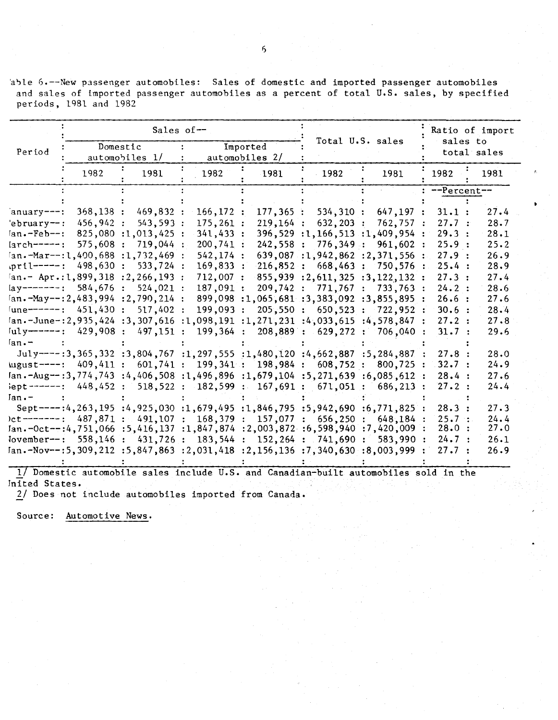|                              |             |                                                                                        | Sales of-             |                            |                                                                                            |                                                                                      |                           | Ratio of import |  |  |
|------------------------------|-------------|----------------------------------------------------------------------------------------|-----------------------|----------------------------|--------------------------------------------------------------------------------------------|--------------------------------------------------------------------------------------|---------------------------|-----------------|--|--|
| Period                       |             | Domestic<br>automobiles 1/                                                             |                       | Imported<br>automobiles 2/ |                                                                                            | Total U.S. sales                                                                     | sales to<br>total sales   |                 |  |  |
|                              | 1982        | 1981                                                                                   | 1982                  | 1981                       | 1982                                                                                       | 1981                                                                                 | 1982                      | 1981            |  |  |
|                              |             |                                                                                        |                       |                            |                                                                                            |                                                                                      | $-$ Percent $-$           |                 |  |  |
| anuary---:                   |             | 368, 138 : 469, 832 :                                                                  | 166, 172:             | 177,365:                   | 534,310:                                                                                   | 647, 197:                                                                            | 31.1:                     | 27.4            |  |  |
| $'ebruary--:$<br>!an.-Feb--: | 456,942:    | 543,593 :<br>825,080 :1,013,425 :                                                      | 175, 261:<br>341,433: | $219, 154$ :               | $632, 203$ :<br>396,529 :1,166,513 :1,409,954                                              | 762,757                                                                              | 27.7:<br>29.3:            | 28.7<br>28.1    |  |  |
| $larch---:$                  |             | 575,608 : 719,044 :                                                                    | 200,741:              |                            | 242,558 : 776,349 : 961,602                                                                |                                                                                      | 25.9:                     | 25.2            |  |  |
|                              |             | $Tan.-Mar--:1,400,688:1,732,469:$                                                      | 542,174 :             |                            |                                                                                            | 639,087 :1,942,862 :2,371,556 :                                                      | 27.9:                     | 26.9            |  |  |
| $pr1----:$                   | 498,630:    | 533,724 :                                                                              | 169,833:              | 216,852:                   |                                                                                            | 668,463 : 750,576                                                                    | 25.4:                     | 28.9            |  |  |
|                              |             | $\lceil 4n - \text{Apr.}:1,899,318 :2,266,193 :$                                       | 712,007 :             |                            |                                                                                            | $855,939$ : 2,611,325 : 3,122,132 :                                                  | 27.3:                     | 27.4            |  |  |
| la y ------- ;               | $584,676$ : | 524,021:                                                                               | 187,091:              |                            |                                                                                            | 209,742 : 771,767 : 733,763 :                                                        | 24.2:                     | 28.6            |  |  |
|                              |             | $\begin{array}{r} \n\text{tan.} - \text{May--}: 2,483,994 : 2,790,214 : \n\end{array}$ |                       |                            | 899,098 :1,065,681 :3,383,092 :3,855,895                                                   |                                                                                      | 26.6:                     | 27.6            |  |  |
| $une-----:$                  | 451,430 :   | 517,402 :                                                                              | 199,093 :             | 205,550:                   |                                                                                            | 650,523 : 722,952                                                                    | 30.6:                     | 28.4            |  |  |
|                              |             |                                                                                        |                       |                            |                                                                                            | (an.-June-:2,935,424:3,307,616:1,098,191:1,271,231:4,033,615:4,578,847:              | 27.2:                     | 27.8            |  |  |
| 「uly------:                  |             | 429,908 : 497,151 :                                                                    | 199,364               |                            | $208,889$ : 629,272 : 706,040                                                              |                                                                                      | 31.7:                     | 29.6            |  |  |
| Ian.-                        |             |                                                                                        |                       |                            |                                                                                            |                                                                                      |                           |                 |  |  |
|                              |             |                                                                                        |                       |                            | $July---3, 365, 332 : 3, 804, 767 : 1, 297, 555 : 1, 480, 120 : 4, 662, 887 : 5, 284, 887$ |                                                                                      | 27.8:                     | 28.0            |  |  |
| lugust----:                  |             |                                                                                        |                       |                            | $409,411: 601,741: 199,341: 198,984: 608,752:$                                             | 800,725                                                                              | 32.7:                     | 24.9            |  |  |
|                              |             |                                                                                        |                       |                            |                                                                                            | . 16,085,612. 16,089,104 .509,104 .509,104 .5,271,639 .507,104 .5,271,639 .507 .5085 | 28.4:                     | 27.6            |  |  |
|                              |             |                                                                                        |                       |                            | $3ept$ ------: 448,452 : 518,522 : 182,599 : 167,691 : 671,051 : 686,213                   |                                                                                      | 27.2:                     | 24.4            |  |  |
| Jan.-                        |             |                                                                                        |                       |                            |                                                                                            |                                                                                      |                           |                 |  |  |
|                              |             |                                                                                        |                       |                            |                                                                                            | Sept----:4,263,195:4,925,030:1,679,495:1,846,795:5,942,690:6,771,825:                | 28.3:                     | 27.3            |  |  |
| $0eE$ -------                |             |                                                                                        |                       |                            | 487,871 : 491,107 : 168,379 : 157,077 : 656,250 :                                          | 648,184                                                                              | 25.7 ::                   | 24.4            |  |  |
|                              |             |                                                                                        |                       |                            | Jan.-Oct--:4,751,066 :5,416,137 :1,847,874 :2,003,872 :6,598,940 :7,420,009                |                                                                                      | 28.0:                     | 27.0            |  |  |
|                              |             |                                                                                        |                       |                            | lovember--: 558,146 : 431,726 : 183,544 : 152,264 : 741,690 : 583,990                      |                                                                                      | 24.7:                     | 26.1            |  |  |
|                              |             |                                                                                        |                       |                            | Jan.-Nov--:5,309,212 :5,847,863 :2,031,418 :2,156,136 :7,340,630 :8,003,999                |                                                                                      | 27.7:                     | 26.9            |  |  |
|                              |             | 1/ Domestic sutemabile selection include II C                                          |                       |                            | and Concelled third to contain                                                             |                                                                                      | والمساحة المراجع ومرافقهم |                 |  |  |

'able 6.--New passenger automobiles: Sales of domestic and imported passenger automobiles and sales of imported passenger automobiles as a percent of total U.S. sales, by specified periods, 1981 and 1982

1/ Domestic automobile sales include U.S. and Canadian-built automobiles sold in the Jnited States.

2/ Does not include automobiles imported from Canada.

Source: Automotive News.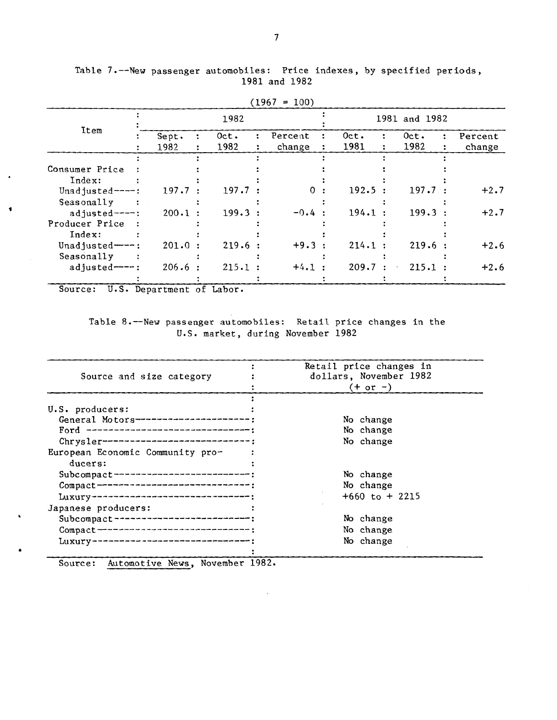|                  |                 |      |       |  | $(1967 = 100)$ |  |         |               |           |  |         |
|------------------|-----------------|------|-------|--|----------------|--|---------|---------------|-----------|--|---------|
|                  |                 | 1982 |       |  |                |  |         | 1981 and 1982 |           |  |         |
| Item             | Sept.           |      | 0ct.  |  | Percent        |  | $0$ ct. |               | $0$ ct.   |  | Percent |
|                  | 1982            |      | 1982  |  | change         |  | 1981    |               | 1982      |  | change  |
|                  |                 |      |       |  |                |  |         |               |           |  |         |
| Consumer Price   |                 |      |       |  |                |  |         |               |           |  |         |
| Index:           |                 |      |       |  |                |  |         |               |           |  |         |
| Unadjusted ----: | 197.7           |      | 197.7 |  | $\Omega$       |  | 192.5   |               | 197.7     |  | $+2.7$  |
| Seasonally       |                 |      |       |  |                |  |         |               |           |  |         |
| adjusted----:    | $200 \cdot 1$ : |      | 199.3 |  | $-0.4$ :       |  | 194.1:  |               | $199.3$ : |  | $+2.7$  |
| Producer Price   |                 |      |       |  |                |  |         |               |           |  |         |
| Index:           |                 |      |       |  |                |  |         |               |           |  |         |
| Unadjusted----:  | 201.0:          |      | 219.6 |  | $+9.3$         |  | 214.1   |               | $219.6$ : |  | $+2.6$  |
| Seasonally       |                 |      |       |  |                |  |         |               |           |  |         |
| adjusted----:    | 206.6:          |      | 215.1 |  | $+4.1$         |  | 209.7   |               | 215.1     |  | $+2.6$  |
|                  |                 |      |       |  |                |  |         |               |           |  |         |

Table 7.--New passenger automobiles: Price indexes, by specified periods, 1981 and 1982

Source: U.S. Department of Labor.

•

Table 8.--New passenger automobiles: Retail price changes in the U.S. market, during November 1982

| Source and size category                                                                                                                      | Retail price changes in<br>dollars, November 1982<br>$(+ or -)$ |
|-----------------------------------------------------------------------------------------------------------------------------------------------|-----------------------------------------------------------------|
| U.S. producers:<br>General Motors---------------------<br>Ford $------------------------------1$                                              | No change<br>No change                                          |
| $Chrvsler------------------------------$<br>European Economic Community pro-<br>ducers:                                                       | No change                                                       |
| Subcompact--------------------------;<br>Compact------------------------------;<br>Luxury-------------------------------                      | No change<br>No change<br>$+660$ to $+2215$                     |
| Japanese producers:<br>Subcompact--------------------------<br>Compact-----------------------------;<br>Luxury------------------------------- | No change<br>No change<br>No change                             |
| Automotive News, November 1982.<br>Source:                                                                                                    |                                                                 |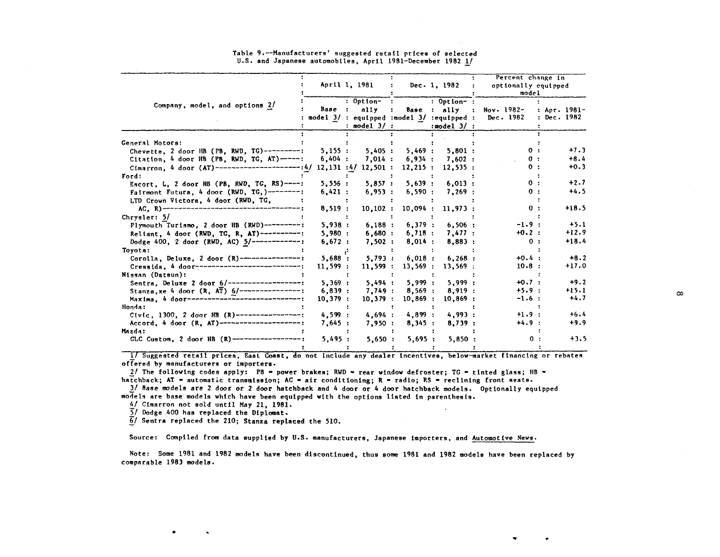|                                                             |         | April 1, 1981                                                                          |           | Dec. 1, 1982                                        | Percent change in<br>optionally equipped<br>model |                             |  |  |
|-------------------------------------------------------------|---------|----------------------------------------------------------------------------------------|-----------|-----------------------------------------------------|---------------------------------------------------|-----------------------------|--|--|
| Company, model, and options 2/                              | Base :  | $:$ Option-<br>ally<br>model $3/$ : equipped : model $3/$ : equipped :<br>: model 3/ : | Base      | $:$ Option- $:$<br>$:$ ally<br>$: \text{model}$ 3/: | Nov. 1982-<br>$\ddot{\phantom{a}}$<br>Dec. $1982$ | : Apr. 1981-<br>: Dec. 1982 |  |  |
| General Motors:                                             |         |                                                                                        |           |                                                     |                                                   |                             |  |  |
| Chevette, $2$ door HB (PB, RWD, TG)---------:               | 5.155:  | 5.405:                                                                                 | 5.469:    | 5.801:                                              | 0:                                                | $+7.3$                      |  |  |
| Citation, $4$ door HB (PB, RWD, TG, AT)-----:               | 6,404:  | 7,014:                                                                                 | 6.934:    | 7.602:                                              | 0:                                                | $+8.4$                      |  |  |
| Cimarron, 4 door (AT)-----------------------;4/             |         | $12,131$ :4/ 12,501 :                                                                  | 12.215:   | 12.535:                                             | $\mathbf{0}$ :                                    | $+0.3$                      |  |  |
| Ford:                                                       |         |                                                                                        |           |                                                     |                                                   |                             |  |  |
| Escort, L, 2 door HB (PB, RWD, TG, RS)----:                 | 5,556:  | 5.857:                                                                                 | 5,639:    | 6,013:                                              | $\mathbf{0}$ :                                    | $+2.7$                      |  |  |
| Fairmont Futura, $4$ door (RWD, TG,)--------:               | 6,421:  | 6,953:                                                                                 | 6.590:    | 7.269:                                              | $\mathbf{0}$ :                                    | $+4.5$                      |  |  |
| LTD Crown Victora, 4 door (RWD, TG,                         |         |                                                                                        |           |                                                     |                                                   |                             |  |  |
|                                                             | 8,519:  | 10,102:                                                                                | 10,094:   | 11.973:                                             | 0:                                                | $+18.5$                     |  |  |
| Chrysler: 5/                                                |         |                                                                                        |           |                                                     |                                                   |                             |  |  |
| Plymouth Turismo, 2 door HB (RWD)---------:                 | 5.938:  | 6.188:                                                                                 | 6.379:    | 6,506:                                              | $-1.9:$                                           | $+5.1$                      |  |  |
| Reliant, 4 door (RWD, TG, R, AT)-----------:                | 5.980:  | 6,680:                                                                                 | 6,718:    | 7.477:                                              | $+0.2$ :                                          | $+12.9$                     |  |  |
| Dodge 400, 2 door (RWD, AC) 5/------------:                 | 6.672:  | 7.502:                                                                                 | 8.014:    | 8.883:                                              | 0:                                                | $+18.4$                     |  |  |
| Toyota:                                                     |         |                                                                                        |           |                                                     |                                                   |                             |  |  |
| Corolla, Deluxe, 2 door (R)----------------:                | 5,688:  | 5.793:                                                                                 | $6,018$ : | 6.268:                                              | $+0.4 :$                                          | $+8.2$                      |  |  |
| Cressida, 4 door---------------------------                 | 11,599: | 11,599:                                                                                | 13,569:   | $13,569$ :                                          | 10.8:                                             | $+17.0$                     |  |  |
| Nissan (Datsun):                                            |         |                                                                                        |           |                                                     |                                                   |                             |  |  |
| Sentra, Deluxe 2 door 6/--------------------                | 5.369:  | 5.494:                                                                                 | 5.999:    | 5,999:                                              | $+0.7 :$                                          | $+9.2$                      |  |  |
| Stanza, xe 4 door (R, $A\overline{T}$ ) 6/----------------: | 6,839:  | 7,749:                                                                                 | 8,569:    | 8,919:                                              | $+5.9 :$                                          | $+15.1$                     |  |  |
| Maxima, 4 door--------------------------------              | 10,379: | 10.379:                                                                                | 10,869:   | 10,869:                                             | $-1.6$ :                                          | $+4.7$                      |  |  |
| Honda:                                                      |         |                                                                                        |           |                                                     |                                                   |                             |  |  |
| Civic, 1300, 2 door HB (R)-----------------:                | 4,599:  | 4,694:                                                                                 | 4,899:    | 4,993:                                              | $+1.9:$                                           | $+6.4$                      |  |  |
| Accord, 4 door (R, AT)---------------------                 | 7.645:  | 7.950:                                                                                 | 8.345:    | 8,739:                                              | $+4.9:$                                           | $+9.9$                      |  |  |
| Mazda:                                                      |         |                                                                                        |           |                                                     |                                                   |                             |  |  |
| GLC Custom, 2 door HB (R) ------------------                | 5,495:  | 5,650:                                                                                 | 5,695:    | 5,850:                                              |                                                   | $+3.5$                      |  |  |
|                                                             |         |                                                                                        |           |                                                     |                                                   |                             |  |  |

#### Table 9.--Manufacturers' suggested retail prices of selected U.S. and Japanese automobiles, April 1981-December 1982 l/

1/ Suggested retail prices, East Coast, do not include any dealer incentives, below-market financing or rebates offered by manufacturers or importers.

2/ The following codes apply: PB = power brakes; RWD = rear window defroster; TG = tinted glass; HB = hatchback; AT = automatic transmission; AC = air conditioning; R = radio; RS = reclining front seats.

3/ Base models are 2 door or 2 door hatchback and 4 door or 4 door hatchback models. Optionally equipped models are base models which have been equipped with the options listed in parenthesis.

4/ Cimarron not sold until May 21, 1981.

S/ Dodge .400 has replaced the Diplomat.

 $6/$  Sentra replaced the 210; Stanza replaced the 510.

Source: Compiled from data supplied by U.S. manufacturers, Japanese importers, and Automotive News.

Note: Some 1981 and 1982 models have been discontinued, thus some 1981 and 1982 models have been replaced by comparable 1983 models •

 $\bullet$  . The contract of the contract of the contract of the contract of the contract of the contract of the contract of the contract of the contract of the contract of the contract of the contract of the contract of the co

 $\bullet$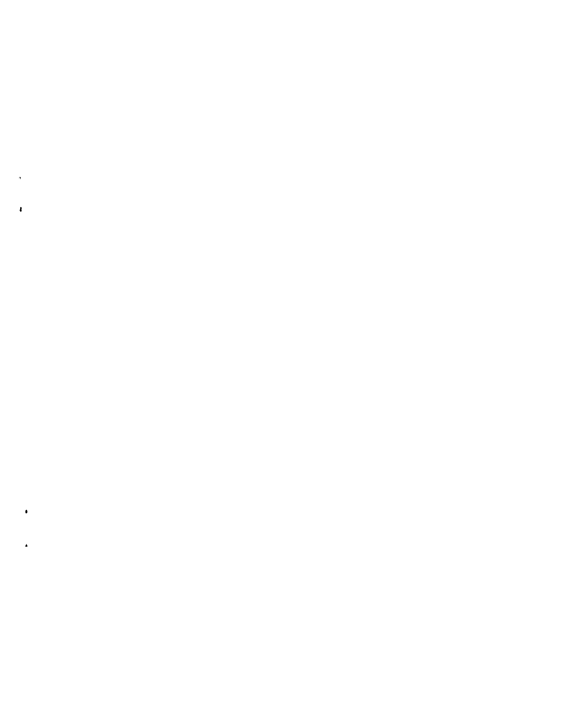$\cdot$